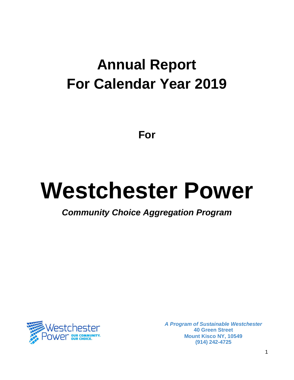## **Annual Report For Calendar Year 2019**

**For**

# **Westchester Power**

*Community Choice Aggregation Program*

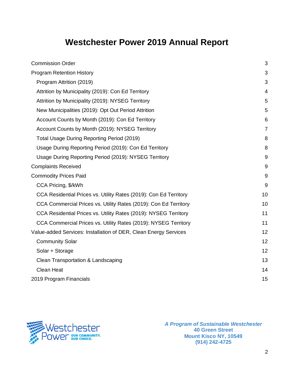## **Westchester Power 2019 Annual Report**

| <b>Commission Order</b>                                           | 3              |
|-------------------------------------------------------------------|----------------|
| <b>Program Retention History</b>                                  | 3              |
| Program Attrition (2019)                                          | 3              |
| Attrition by Municipality (2019): Con Ed Territory                | $\overline{4}$ |
| Attrition by Municipality (2019): NYSEG Territory                 | 5              |
| New Municipalities (2019): Opt Out Period Attrition               | 5              |
| Account Counts by Month (2019): Con Ed Territory                  | 6              |
| Account Counts by Month (2019): NYSEG Territory                   | $\overline{7}$ |
| Total Usage During Reporting Period (2019)                        | 8              |
| Usage During Reporting Period (2019): Con Ed Territory            | 8              |
| Usage During Reporting Period (2019): NYSEG Territory             | $9\,$          |
| <b>Complaints Received</b>                                        | 9              |
| <b>Commodity Prices Paid</b>                                      | 9              |
| CCA Pricing, \$/kWh                                               | 9              |
| CCA Residential Prices vs. Utility Rates (2019): Con Ed Territory | 10             |
| CCA Commercial Prices vs. Utility Rates (2019): Con Ed Territory  | 10             |
| CCA Residential Prices vs. Utility Rates (2019): NYSEG Territory  | 11             |
| CCA Commercial Prices vs. Utility Rates (2019): NYSEG Territory   | 11             |
| Value-added Services: Installation of DER, Clean Energy Services  | 12             |
| <b>Community Solar</b>                                            | 12             |
| Solar + Storage                                                   | 12             |
| Clean Transportation & Landscaping                                | 13             |
| <b>Clean Heat</b>                                                 | 14             |
| 2019 Program Financials                                           | 15             |

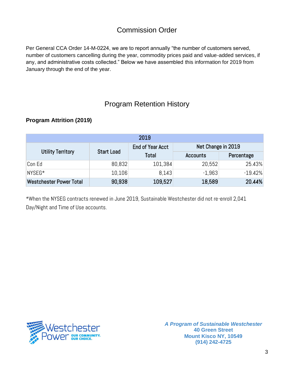## Commission Order

<span id="page-2-0"></span>Per General CCA Order 14-M-0224, we are to report annually "the number of customers served, number of customers cancelling during the year, commodity prices paid and value-added services, if any, and administrative costs collected." Below we have assembled this information for 2019 from January through the end of the year.

## Program Retention History

## <span id="page-2-2"></span><span id="page-2-1"></span>**Program Attrition (2019)**

| 2019                           |                   |                  |                    |            |  |  |  |  |
|--------------------------------|-------------------|------------------|--------------------|------------|--|--|--|--|
| <b>Utility Territory</b>       | <b>Start Load</b> | End of Year Acct | Net Change in 2019 |            |  |  |  |  |
|                                |                   | Total            | Accounts           | Percentage |  |  |  |  |
| Con Ed                         | 80,832            | 101,384          | 20,552             | 25.43%     |  |  |  |  |
| NYSEG*                         | 10,106            | 8,143            | $-1,963$           | $-19.42%$  |  |  |  |  |
| <b>Westchester Power Total</b> | 90,938            | 109,527          | 18,589             | 20.44%     |  |  |  |  |

\*When the NYSEG contracts renewed in June 2019, Sustainable Westchester did not re-enroll 2,041 Day/Night and Time of Use accounts.

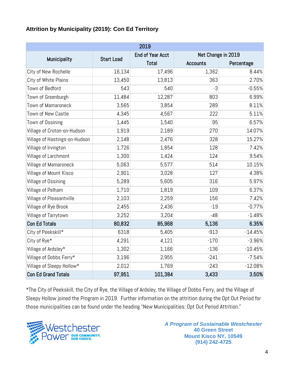## <span id="page-3-0"></span>**Attrition by Municipality (2019): Con Ed Territory**

| 2019                          |                   |                         |                    |            |  |  |  |  |
|-------------------------------|-------------------|-------------------------|--------------------|------------|--|--|--|--|
|                               |                   | <b>End of Year Acct</b> | Net Change in 2019 |            |  |  |  |  |
| Municipality                  | <b>Start Load</b> | <b>Total</b>            | <b>Accounts</b>    | Percentage |  |  |  |  |
| City of New Rochelle          | 16,134            | 17,496                  | 1,362              | 8.44%      |  |  |  |  |
| City of White Plains          | 13,450            | 13,813                  | 363                | 2.70%      |  |  |  |  |
| Town of Bedford               | 543               | 540                     | -3                 | $-0.55%$   |  |  |  |  |
| Town of Greenburgh            | 11,484            | 12,287                  | 803                | 6.99%      |  |  |  |  |
| Town of Mamaroneck            | 3,565             | 3,854                   | 289                | 8.11%      |  |  |  |  |
| Town of New Castle            | 4,345             | 4,567                   | 222                | 5.11%      |  |  |  |  |
| Town of Ossining              | 1,445             | 1,540                   | 95                 | 6.57%      |  |  |  |  |
| Village of Croton-on-Hudson   | 1,919             | 2,189                   | 270                | 14.07%     |  |  |  |  |
| Village of Hastings-on-Hudson | 2,148             | 2,476                   | 328                | 15.27%     |  |  |  |  |
| Village of Irvington          | 1,726             | 1,854                   | 128                | 7.42%      |  |  |  |  |
| Village of Larchmont          | 1,300             | 1,424                   | 124                | 9.54%      |  |  |  |  |
| Village of Mamaroneck         | 5,063             | 5,577                   | 514                | 10.15%     |  |  |  |  |
| Village of Mount Kisco        | 2,901             | 3,028                   | 127                | 4.38%      |  |  |  |  |
| Village of Ossining           | 5,289             | 5,605                   | 316                | 5.97%      |  |  |  |  |
| Village of Pelham             | 1,710             | 1,819                   | 109                | 6.37%      |  |  |  |  |
| Village of Pleasantville      | 2,103             | 2,259                   | 156                | 7.42%      |  |  |  |  |
| Village of Rye Brook          | 2,455             | 2,436                   | $-19$              | $-0.77%$   |  |  |  |  |
| Village of Tarrytown          | 3,252             | 3,204                   | $-48$              | $-1.48%$   |  |  |  |  |
| <b>Con Ed Totals</b>          | 80,832            | 85,968                  | 5,136              | 6.35%      |  |  |  |  |
| City of Peekskill*            | 6318              | 5,405                   | $-913$             | $-14.45%$  |  |  |  |  |
| City of Rye*                  | 4,291             | 4,121                   | $-170$             | $-3.96%$   |  |  |  |  |
| Village of Ardsley*           | 1,302             | 1,166                   | $-136$             | $-10.45%$  |  |  |  |  |
| Village of Dobbs Ferry*       | 3,196             | 2,955                   | $-241$             | $-7.54%$   |  |  |  |  |
| Village of Sleepy Hollow*     | 2,012             | 1,769                   | $-243$             | $-12.08%$  |  |  |  |  |
| <b>Con Ed Grand Totals</b>    | 97,951            | 101,384                 | 3,433              | 3.50%      |  |  |  |  |

\*The City of Peekskill, the City of Rye, the Village of Ardsley, the Village of Dobbs Ferry, and the Village of Sleepy Hollow joined the Program in 2019. Further information on the attrition during the Opt Out Period for those municipalities can be found under the heading "New Municipalities: Opt Out Period Attrition."

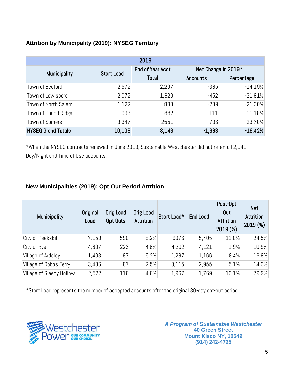## <span id="page-4-0"></span>**Attrition by Municipality (2019): NYSEG Territory**

| 2019                      |                   |                         |                     |            |  |  |  |  |
|---------------------------|-------------------|-------------------------|---------------------|------------|--|--|--|--|
| Municipality              | <b>Start Load</b> | <b>End of Year Acct</b> | Net Change in 2019* |            |  |  |  |  |
|                           |                   | <b>Total</b>            | <b>Accounts</b>     | Percentage |  |  |  |  |
| Town of Bedford           | 2,572             | 2,207                   | $-365$              | $-14.19%$  |  |  |  |  |
| Town of Lewisboro         | 2,072             | 1,620                   | $-452$              | $-21.81%$  |  |  |  |  |
| Town of North Salem       | 1,122             | 883                     | $-239$              | $-21.30%$  |  |  |  |  |
| Town of Pound Ridge       | 993               | 882                     | $-111$              | $-11.18%$  |  |  |  |  |
| <b>Town of Somers</b>     | 3,347             | 2551                    | $-796$              | $-23.78%$  |  |  |  |  |
| <b>NYSEG Grand Totals</b> | 10,106            | 8,143                   | $-1,963$            | $-19.42%$  |  |  |  |  |

\*When the NYSEG contracts renewed in June 2019, Sustainable Westchester did not re-enroll 2,041 Day/Night and Time of Use accounts.

#### <span id="page-4-1"></span>**New Municipalities (2019): Opt Out Period Attrition**

| Municipality                  | Original<br>Load | Orig Load<br>Opt Outs | <b>Orig Load</b><br>Attrition | Start Load* | <b>End Load</b> | Post-Opt<br>Out<br>Attrition<br>2019 <sub>(%)</sub> | <b>Net</b><br>Attrition<br>2019 (%) |
|-------------------------------|------------------|-----------------------|-------------------------------|-------------|-----------------|-----------------------------------------------------|-------------------------------------|
| City of Peekskill             | 7,159            | 590                   | 8.2%                          | 6076        | 5,405           | 11.0%                                               | 24.5%                               |
| City of Rye                   | 4,607            | 223                   | 4.8%                          | 4,202       | 4,121           | 1.9%                                                | 10.5%                               |
| Village of Ardsley            | 1,403            | 87                    | 6.2%                          | 1,287       | 1,166           | 9.4%                                                | 16.9%                               |
| <b>Village of Dobbs Ferry</b> | 3,436            | 87                    | 2.5%                          | 3.115       | 2,955           | 5.1%                                                | 14.0%                               |
| Village of Sleepy Hollow      | 2,522            | 116                   | 4.6%                          | 1,967       | 1,769           | 10.1%                                               | 29.9%                               |

\*Start Load represents the number of accepted accounts after the original 30-day opt-out period

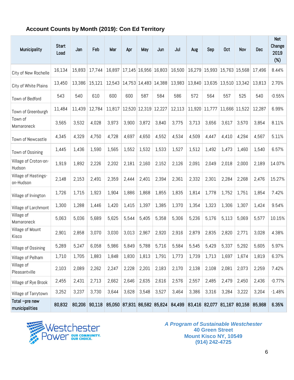## <span id="page-5-0"></span>**Account Counts by Month (2019): Con Ed Territory**

| Municipality                      | <b>Start</b><br>Load | Jan    | Feb    | Mar    | Apr   | May                  | Jun                         | Jul                                                                   | Aug   | Sep                           | <b>Oct</b> | Nov           | <b>Dec</b> | Net<br>Change<br>2019<br>$(\%)$ |
|-----------------------------------|----------------------|--------|--------|--------|-------|----------------------|-----------------------------|-----------------------------------------------------------------------|-------|-------------------------------|------------|---------------|------------|---------------------------------|
| City of New Rochelle              | 16,134               | 15,893 | 17,744 | 16,897 |       |                      | 17,145 16,956 16,803        | 16,500                                                                |       | 16,279 15,993 15,763 15,568   |            |               | 17,496     | 8.44%                           |
| City of White Plains              | 13,450               | 13,386 | 15,121 |        |       |                      | 12,543 14,753 14,483 14,388 | 13,983                                                                |       | $13,840$ 13,635 13,510 13,342 |            |               | 13,813     | 2.70%                           |
| Town of Bedford                   | 543                  | 540    | 610    | 600    | 600   | 587                  | 584                         | 586                                                                   | 572   | 564                           | 557        | 525           | 540        | $-0.55%$                        |
| Town of Greenburgh                | 11,484               | 11,439 | 12,784 | 11,817 |       | 12,520 12,319 12,227 |                             | 12,113                                                                |       | 11,920 11,777                 |            | 11,666 11,522 | 12,287     | 6.99%                           |
| Town of<br>Mamaroneck             | 3,565                | 3,532  | 4,028  | 3,973  | 3,900 | 3,872                | 3,840                       | 3,775                                                                 | 3,713 | 3,656                         | 3,617      | 3,570         | 3,854      | 8.11%                           |
| Town of Newcastle                 | 4,345                | 4,329  | 4,750  | 4,728  | 4,697 | 4,650                | 4,552                       | 4,534                                                                 | 4,509 | 4,447                         | 4,410      | 4,294         | 4,567      | 5.11%                           |
| Town of Ossining                  | 1,445                | 1,436  | 1,590  | 1,565  | 1,552 | 1,532                | 1,533                       | 1,527                                                                 | 1,512 | 1,492                         | 1,473      | 1,460         | 1,540      | 6.57%                           |
| Village of Croton-on-<br>Hudson   | 1,919                | 1,892  | 2,226  | 2,202  | 2,181 | 2,160                | 2,152                       | 2,126                                                                 | 2,091 | 2,049                         | 2,018      | 2,000         | 2,189      | 14.07%                          |
| Village of Hastings-<br>on-Hudson | 2,148                | 2,153  | 2,491  | 2,359  | 2,444 | 2,401                | 2,394                       | 2,361                                                                 | 2,332 | 2,301                         | 2,284      | 2,268         | 2,476      | 15.27%                          |
| Village of Irvington              | 1,726                | 1,715  | 1,923  | 1,904  | 1,886 | 1,868                | 1,855                       | 1,835                                                                 | 1,814 | 1,778                         | 1,752      | 1,751         | 1,854      | 7.42%                           |
| Village of Larchmont              | 1,300                | 1,288  | 1,446  | 1,420  | 1,415 | 1,397                | 1,385                       | 1,370                                                                 | 1,354 | 1,323                         | 1,306      | 1,307         | 1,424      | 9.54%                           |
| Village of<br>Mamaroneck          | 5,063                | 5,036  | 5,689  | 5,625  | 5,544 | 5,405                | 5,358                       | 5,306                                                                 | 5,236 | 5,176                         | 5,113      | 5,069         | 5,577      | 10.15%                          |
| Village of Mount<br>Kisco         | 2,901                | 2,858  | 3,070  | 3,030  | 3,013 | 2,967                | 2,920                       | 2,916                                                                 | 2,879 | 2,835                         | 2,820      | 2,771         | 3,028      | 4.38%                           |
| Village of Ossining               | 5,289                | 5,247  | 6,058  | 5,986  | 5,849 | 5,788                | 5,716                       | 5,584                                                                 | 5,545 | 5,429                         | 5,337      | 5,292         | 5,605      | 5.97%                           |
| Village of Pelham                 | 1,710                | 1,705  | 1,883  | 1,848  | 1,830 | 1,813                | 1,791                       | 1,773                                                                 | 1,739 | 1,713                         | 1,697      | 1,674         | 1,819      | 6.37%                           |
| Village of<br>Pleasantville       | 2,103                | 2,089  | 2,262  | 2,247  | 2,228 | 2,201                | 2,183                       | 2,170                                                                 | 2,138 | 2,108                         | 2,081      | 2,073         | 2,259      | 7.42%                           |
| Village of Rye Brook              | 2,455                | 2,431  | 2,713  | 2,662  | 2,646 | 2,635                | 2,616                       | 2,576                                                                 | 2,557 | 2,485                         | 2,479      | 2,450         | 2,436      | $-0.77%$                        |
| Village of Tarrytown              | 3,252                | 3,237  | 3,730  | 3,644  | 3,628 | 3,548                | 3,527                       | 3,464                                                                 | 3,386 | 3,316                         | 3,284      | 3,222         | 3,204      | $-1.48%$                        |
| Total -pre new<br>municipalities  | 80,832               | 80,206 | 90,118 |        |       |                      |                             | 85,050 87,831 86,582 85,824 84,499 83,416 82,077 81,167 80,158 85,968 |       |                               |            |               |            | 6.35%                           |

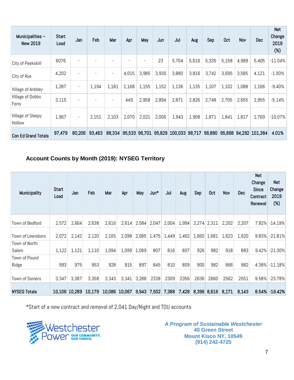| Municipalities $-$<br><b>New 2019</b> | <b>Start</b><br>Load | Jan                      | Feb    | Mar                      | Apr   | May   | Jun   | Jul                                        | Aug   | Sep   | <b>Oct</b> | Nov   | Dec                          | Net<br>Change<br>2019<br>$(\%)$ |
|---------------------------------------|----------------------|--------------------------|--------|--------------------------|-------|-------|-------|--------------------------------------------|-------|-------|------------|-------|------------------------------|---------------------------------|
| City of Peekskill                     | 6076                 | $\overline{\phantom{a}}$ |        |                          | ٠     | ٠     | 23    | 5,704                                      | 5,616 | 5,335 | 5,158      | 4,989 | 5,405                        | $-11.04%$                       |
| City of Rye                           | 4,202                |                          |        | $\overline{\phantom{a}}$ | 4,015 | 3,985 | 3,930 | 3,880                                      | 3,816 | 3,742 | 3,695      | 3,585 | 4,121                        | $-1.93%$                        |
| Village of Ardsley                    | 1,287                | $\blacksquare$           | 1,194  | 1,181                    | 1,168 | 1,155 | 1,152 | 1,136                                      | 1,135 | 1,107 | 1,102      | 1,088 | 1,166                        | $-9.40%$                        |
| Village of Dobbs<br>Ferry             | 3,115                | $\overline{\phantom{a}}$ |        | $\overline{\phantom{a}}$ | 449   | 2,958 | 2,894 | 2,871                                      | 2,826 | 2,748 | 2,705      | 2,655 | 2,955                        | $-5.14%$                        |
| Village of Sleepy<br>Hollow           | 1,967                | $\overline{\phantom{a}}$ | 2,151  | 2,103                    | 2,070 | 2,021 | 2,006 | 1,943                                      | 1,908 | 1,871 | 1,841      | 1,817 | 1,769                        | $-10.07%$                       |
| <b>Con Ed Grand Totals</b>            | 97,479               | 80,206                   | 93,463 |                          |       |       |       | 88,334 95,533 96,701 95,829 100,033 98,717 |       |       |            |       | 96,880 95,668 94,292 101,384 | 4.01%                           |

## <span id="page-6-0"></span>**Account Counts by Month (2019): NYSEG Territory**

| Municipality          | Start<br>Load | Jan           | Feb    | Mar    | Apr    | May   | $Jun*$ | Jul   | Aug   | Sep   | Oct         | Nov   | Dec.  | Net<br>Change<br>Since<br><b>Contract</b><br>Renewal | Net<br>Change<br>2019<br>$(\%)$ |
|-----------------------|---------------|---------------|--------|--------|--------|-------|--------|-------|-------|-------|-------------|-------|-------|------------------------------------------------------|---------------------------------|
| Town of Bedford       | 2,572         | 2,664         | 2,638  | 2,616  | 2,614  | 2,584 | 2,047  | 2,004 | 1,994 | 2,274 | 2,311       | 2,202 | 2,207 | 7.82%                                                | $-14.19%$                       |
| Town of Lewisboro     | 2,072         | 2,142         | 2,120  | 2,105  | 2,098  | 2,085 | 1,475  | 1,449 | 1,462 |       | 1,660 1,681 | 1,623 | 1,620 | 9.83%                                                | $-21.81%$                       |
| Town of North         |               |               |        |        |        |       |        |       |       |       |             |       |       |                                                      |                                 |
| Salem                 | 1,122         | 1,121         | 1,110  | 1,094  | 1,099  | 1,089 | 807    | 816   | 807   | 926   | 982         | 918   | 883   | 9.42%                                                | $-21.30%$                       |
| Town of Pound         |               |               |        |        |        |       |        |       |       |       |             |       |       |                                                      |                                 |
| Ridge                 | 993           | 975           | 953    | 928    | 915    | 897   | 845    | 810   | 809   | 900   | 982         | 866   | 882   | 4.38%                                                | $-11.18%$                       |
| <b>Town of Somers</b> | 3,347         | 3,387         | 3,358  | 3,343  | 3,341  | 3,288 | 2328   | 2309  | 2356  | 2636  | 2660        | 2562  | 2551  | 9.58%                                                | $-23.78%$                       |
| <b>NYSEG Totals</b>   |               | 10,106 10,289 | 10.179 | 10,086 | 10,067 | 9,943 | 7,502  | 7,388 | 7,428 |       | 8,396 8,616 | 8,171 | 8,143 |                                                      | $8.54\%$ -19.42%                |

\*Start of a new contract and removal of 2,041 Day/Night and TOU accounts

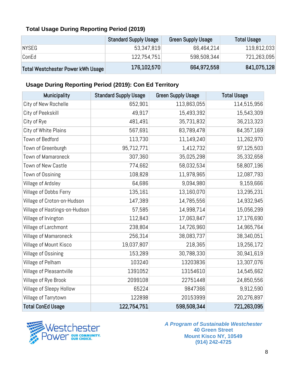## <span id="page-7-0"></span>**Total Usage During Reporting Period (2019)**

|                                   | <b>Standard Supply Usage</b> | <b>Green Supply Usage</b> | <b>Total Usage</b> |
|-----------------------------------|------------------------------|---------------------------|--------------------|
| <b>NYSEG</b>                      | 53,347,819                   | 66,464,214                | 119,812,033        |
| ConEd                             | 122,754,751                  | 598,508,344               | 721,263,095        |
| Total Westchester Power kWh Usage | 176,102,570                  | 664,972,558               | 841,075,128        |

## <span id="page-7-1"></span>**Usage During Reporting Period (2019): Con Ed Territory**

| Municipality                  | <b>Standard Supply Usage</b> | <b>Green Supply Usage</b> | <b>Total Usage</b> |
|-------------------------------|------------------------------|---------------------------|--------------------|
| City of New Rochelle          | 652,901                      | 113,863,055               | 114,515,956        |
| City of Peekskill             | 49,917                       | 15,493,392                | 15,543,309         |
| City of Rye                   | 481,491                      | 35,731,832                | 36,213,323         |
| City of White Plains          | 567,691                      | 83,789,478                | 84,357,169         |
| Town of Bedford               | 113,730                      | 11,149,240                | 11,262,970         |
| Town of Greenburgh            | 95,712,771                   | 1,412,732                 | 97,125,503         |
| Town of Mamaroneck            | 307,360                      | 35,025,298                | 35,332,658         |
| Town of New Castle            | 774,662                      | 58,032,534                | 58,807,196         |
| Town of Ossining              | 108,828                      | 11,978,965                | 12,087,793         |
| Village of Ardsley            | 64,686                       | 9,094,980                 | 9,159,666          |
| Village of Dobbs Ferry        | 135,161                      | 13,160,070                | 13,295,231         |
| Village of Croton-on-Hudson   | 147,389                      | 14,785,556                | 14,932,945         |
| Village of Hastings-on-Hudson | 57,585                       | 14,998,714                | 15,056,299         |
| Village of Irvington          | 112,843                      | 17,063,847                | 17,176,690         |
| Village of Larchmont          | 238,804                      | 14,726,960                | 14,965,764         |
| Village of Mamaroneck         | 256,314                      | 38,083,737                | 38,340,051         |
| Village of Mount Kisco        | 19,037,807                   | 218,365                   | 19,256,172         |
| Village of Ossining           | 153,289                      | 30,788,330                | 30,941,619         |
| Village of Pelham             | 103240                       | 13203836                  | 13,307,076         |
| Village of Pleasantville      | 1391052                      | 13154610                  | 14,545,662         |
| Village of Rye Brook          | 2099108                      | 22751448                  | 24,850,556         |
| Village of Sleepy Hollow      | 65224                        | 9847366                   | 9,912,590          |
| Village of Tarrytown          | 122898                       | 20153999                  | 20,276,897         |
| <b>Total ConEd Usage</b>      | 122,754,751                  | 598,508,344               | 721,263,095        |

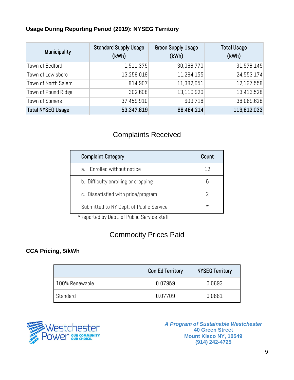## <span id="page-8-0"></span>**Usage During Reporting Period (2019): NYSEG Territory**

| Municipality             | <b>Standard Supply Usage</b><br>(kWh) | <b>Green Supply Usage</b><br>(kWh) | <b>Total Usage</b><br>(kWh) |
|--------------------------|---------------------------------------|------------------------------------|-----------------------------|
| Town of Bedford          | 1,511,375                             | 30,066,770                         | 31,578,145                  |
| Town of Lewisboro        | 13,259,019                            | 11,294,155                         | 24,553,174                  |
| Town of North Salem      | 814,907                               | 11,382,651                         | 12,197,558                  |
| Town of Pound Ridge      | 302,608                               | 13,110,920                         | 13,413,528                  |
| <b>Town of Somers</b>    | 37,459,910                            | 609,718                            | 38,069,628                  |
| <b>Total NYSEG Usage</b> | 53,347,819                            | 66,464,214                         | 119,812,033                 |

## Complaints Received

<span id="page-8-1"></span>

| <b>Complaint Category</b>               | Count   |
|-----------------------------------------|---------|
| a. Enrolled without notice              | 12      |
| b. Difficulty enrolling or dropping     |         |
| c. Dissatisfied with price/program      |         |
| Submitted to NY Dept. of Public Service | $\star$ |

\*Reported by Dept. of Public Service staff

## Commodity Prices Paid

## <span id="page-8-3"></span><span id="page-8-2"></span>**CCA Pricing, \$/kWh**

|                | <b>Con Ed Territory</b> | <b>NYSEG Territory</b> |
|----------------|-------------------------|------------------------|
| 100% Renewable | 0.07959                 | 0.0693                 |
| Standard       | 0.07709                 | 0.0661                 |

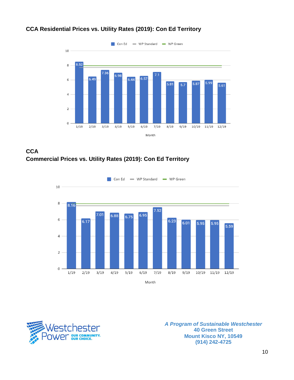

## <span id="page-9-0"></span>**CCA Residential Prices vs. Utility Rates (2019): Con Ed Territory**

<span id="page-9-1"></span>



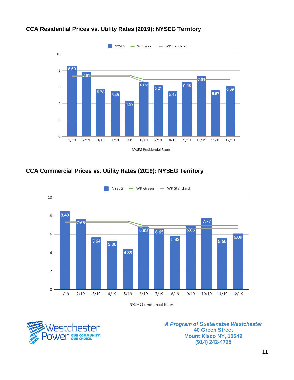

#### <span id="page-10-0"></span>**CCA Residential Prices vs. Utility Rates (2019): NYSEG Territory**

## <span id="page-10-1"></span>**CCA Commercial Prices vs. Utility Rates (2019): NYSEG Territory**



er COMMUNITY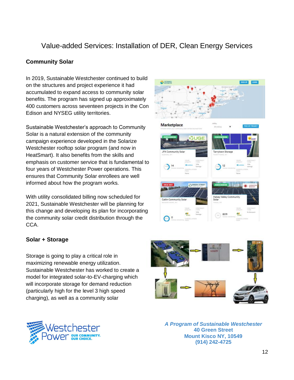## <span id="page-11-0"></span>Value-added Services: Installation of DER, Clean Energy Services

#### <span id="page-11-1"></span>**Community Solar**

In 2019, Sustainable Westchester continued to build on the structures and project experience it had accumulated to expand access to community solar benefits. The program has signed up approximately 400 customers across seventeen projects in the Con Edison and NYSEG utility territories.

Sustainable Westchester's approach to Community Solar is a natural extension of the community campaign experience developed in the Solarize Westchester rooftop solar program (and now in HeatSmart). It also benefits from the skills and emphasis on customer service that is fundamental to four years of Westchester Power operations. This ensures that Community Solar enrollees are well informed about how the program works.

With utility consolidated billing now scheduled for 2021, Sustainable Westchester will be planning for this change and developing its plan for incorporating the community solar credit distribution through the CCA.

#### <span id="page-11-2"></span>**Solar + Storage**

Storage is going to play a critical role in maximizing renewable energy utilization. Sustainable Westchester has worked to create a model for integrated solar-to-EV-charging which will incorporate storage for demand reduction (particularly high for the level 3 high speed charging), as well as a community solar





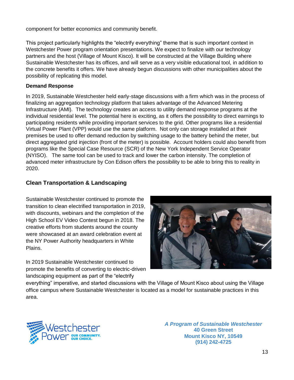component for better economics and community benefit.

This project particularly highlights the "electrify everything" theme that is such important context in Westchester Power program orientation presentations. We expect to finalize with our technology partners and the host (Village of Mount Kisco). It will be constructed at the Village Building where Sustainable Westchester has its offices, and will serve as a very visible educational tool, in addition to the concrete benefits it offers. We have already begun discussions with other municipalities about the possibility of replicating this model.

#### **Demand Response**

In 2019, Sustainable Westchester held early-stage discussions with a firm which was in the process of finalizing an aggregation technology platform that takes advantage of the Advanced Metering Infrastructure (AMI). The technology creates an access to utility demand response programs at the individual residential level. The potential here is exciting, as it offers the possibility to direct earnings to participating residents while providing important services to the grid. Other programs like a residential Virtual Power Plant (VPP) would use the same platform. Not only can storage installed at their premises be used to offer demand reduction by switching usage to the battery behind the meter, but direct aggregated grid injection (front of the meter) is possible. Account holders could also benefit from programs like the Special Case Resource (SCR) of the New York Independent Service Operator (NYISO). The same tool can be used to track and lower the carbon intensity. The completion of advanced meter infrastructure by Con Edison offers the possibility to be able to bring this to reality in 2020.

#### <span id="page-12-0"></span>**Clean Transportation & Landscaping**

Sustainable Westchester continued to promote the transition to clean electrified transportation in 2019, with discounts, webinars and the completion of the High School EV Video Contest begun in 2018. The creative efforts from students around the county were showcased at an award celebration event at the NY Power Authority headquarters in White Plains.

In 2019 Sustainable Westchester continued to promote the benefits of converting to electric-driven landscaping equipment as part of the "electrify



everything" imperative, and started discussions with the Village of Mount Kisco about using the Village office campus where Sustainable Westchester is located as a model for sustainable practices in this area.

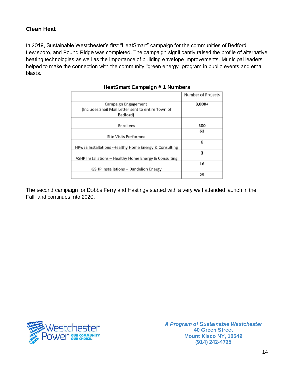#### <span id="page-13-0"></span>**Clean Heat**

In 2019, Sustainable Westchester's first "HeatSmart" campaign for the communities of Bedford, Lewisboro, and Pound Ridge was completed. The campaign significantly raised the profile of alternative heating technologies as well as the importance of building envelope improvements. Municipal leaders helped to make the connection with the community "green energy" program in public events and email blasts.

|                                                       | Number of Projects |
|-------------------------------------------------------|--------------------|
| Campaign Engagement                                   | $3,000+$           |
| (Includes Snail Mail Letter sent to entire Town of    |                    |
| Bedford)                                              |                    |
| Enrollees                                             | 300                |
|                                                       | 63                 |
| Site Visits Performed                                 |                    |
|                                                       | 6                  |
| HPwES Installations -Healthy Home Energy & Consulting |                    |
|                                                       | з                  |
| ASHP Installations – Healthy Home Energy & Consulting |                    |
|                                                       | 16                 |
| GSHP Installations - Dandelion Energy                 |                    |
|                                                       | 25                 |

|  | <b>HeatSmart Campaign #1 Numbers</b> |  |  |  |
|--|--------------------------------------|--|--|--|
|--|--------------------------------------|--|--|--|

The second campaign for Dobbs Ferry and Hastings started with a very well attended launch in the Fall, and continues into 2020.